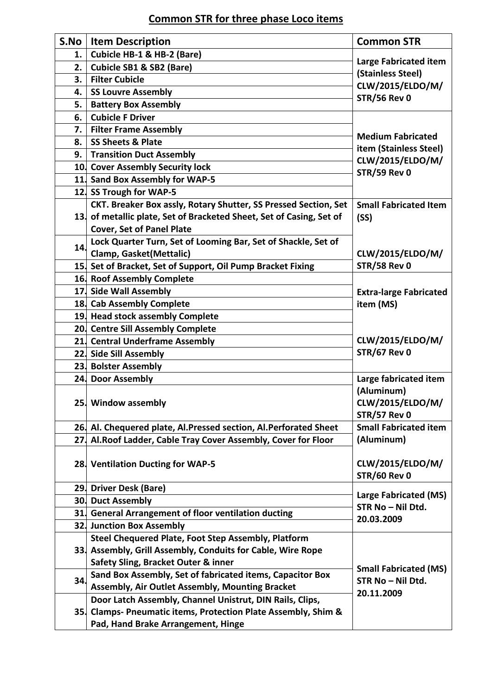## **Common STR for three phase Loco items**

| S.No | <b>Item Description</b>                                              | <b>Common STR</b>                                               |
|------|----------------------------------------------------------------------|-----------------------------------------------------------------|
| 1.   | Cubicle HB-1 & HB-2 (Bare)                                           |                                                                 |
| 2.   | Cubicle SB1 & SB2 (Bare)                                             | <b>Large Fabricated item</b>                                    |
| 3.   | <b>Filter Cubicle</b>                                                | (Stainless Steel)<br>CLW/2015/ELDO/M/                           |
| 4.   | <b>SS Louvre Assembly</b>                                            | <b>STR/56 Rev 0</b>                                             |
| 5.   | <b>Battery Box Assembly</b>                                          |                                                                 |
| 6.   | <b>Cubicle F Driver</b>                                              |                                                                 |
| 7.   | <b>Filter Frame Assembly</b>                                         |                                                                 |
| 8.   | <b>SS Sheets &amp; Plate</b>                                         | <b>Medium Fabricated</b>                                        |
| 9.   | <b>Transition Duct Assembly</b>                                      | item (Stainless Steel)                                          |
|      | 10 Cover Assembly Security lock                                      | CLW/2015/ELDO/M/                                                |
|      | 11 Sand Box Assembly for WAP-5                                       | <b>STR/59 Rev 0</b>                                             |
|      | 12. SS Trough for WAP-5                                              |                                                                 |
|      | CKT. Breaker Box assly, Rotary Shutter, SS Pressed Section, Set      | <b>Small Fabricated Item</b>                                    |
|      | 13. of metallic plate, Set of Bracketed Sheet, Set of Casing, Set of | (SS)                                                            |
|      | <b>Cover, Set of Panel Plate</b>                                     |                                                                 |
|      | Lock Quarter Turn, Set of Looming Bar, Set of Shackle, Set of        |                                                                 |
| 14.  | <b>Clamp, Gasket(Mettalic)</b>                                       | CLW/2015/ELDO/M/                                                |
|      | 15 Set of Bracket, Set of Support, Oil Pump Bracket Fixing           | <b>STR/58 Rev 0</b>                                             |
|      | 16. Roof Assembly Complete                                           |                                                                 |
|      | 17. Side Wall Assembly                                               | <b>Extra-large Fabricated</b>                                   |
|      | 18. Cab Assembly Complete                                            | item (MS)                                                       |
|      | 19. Head stock assembly Complete                                     |                                                                 |
|      | 20 Centre Sill Assembly Complete                                     |                                                                 |
|      | 21 Central Underframe Assembly                                       | CLW/2015/ELDO/M/                                                |
|      | 22. Side Sill Assembly                                               | <b>STR/67 Rev 0</b>                                             |
|      | 23. Bolster Assembly                                                 |                                                                 |
|      | 24. Door Assembly                                                    | Large fabricated item                                           |
|      |                                                                      | (Aluminum)                                                      |
|      | 25. Window assembly                                                  | CLW/2015/ELDO/M/                                                |
|      |                                                                      | <b>STR/57 Rev 0</b>                                             |
|      | 26 Al. Chequered plate, Al. Pressed section, Al. Perforated Sheet    | <b>Small Fabricated item</b>                                    |
|      | 27 Al. Roof Ladder, Cable Tray Cover Assembly, Cover for Floor       | (Aluminum)                                                      |
|      |                                                                      |                                                                 |
|      | 28. Ventilation Ducting for WAP-5                                    | CLW/2015/ELDO/M/                                                |
|      |                                                                      | <b>STR/60 Rev 0</b>                                             |
|      | 29. Driver Desk (Bare)                                               |                                                                 |
|      | <b>30. Duct Assembly</b>                                             | <b>Large Fabricated (MS)</b><br>STR No - Nil Dtd.               |
|      | 31. General Arrangement of floor ventilation ducting                 |                                                                 |
|      | 32. Junction Box Assembly                                            | 20.03.2009                                                      |
|      | Steel Chequered Plate, Foot Step Assembly, Platform                  |                                                                 |
|      | 33. Assembly, Grill Assembly, Conduits for Cable, Wire Rope          |                                                                 |
|      | <b>Safety Sling, Bracket Outer &amp; inner</b>                       | <b>Small Fabricated (MS)</b><br>STR No - Nil Dtd.<br>20.11.2009 |
| 34.  | Sand Box Assembly, Set of fabricated items, Capacitor Box            |                                                                 |
|      | Assembly, Air Outlet Assembly, Mounting Bracket                      |                                                                 |
|      | Door Latch Assembly, Channel Unistrut, DIN Rails, Clips,             |                                                                 |
|      | 35. Clamps- Pneumatic items, Protection Plate Assembly, Shim &       |                                                                 |
|      | Pad, Hand Brake Arrangement, Hinge                                   |                                                                 |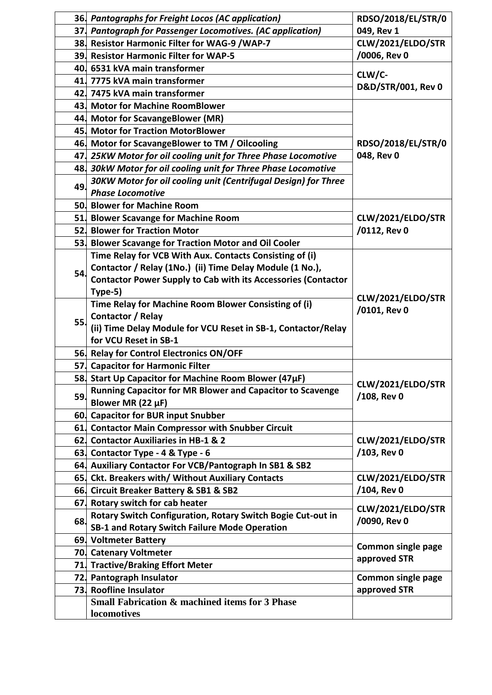|     | 36. Pantographs for Freight Locos (AC application)                                        | RDSO/2018/EL/STR/0                |
|-----|-------------------------------------------------------------------------------------------|-----------------------------------|
|     | 37. Pantograph for Passenger Locomotives. (AC application)                                | 049, Rev 1                        |
|     | 38 Resistor Harmonic Filter for WAG-9 /WAP-7                                              | CLW/2021/ELDO/STR                 |
|     | 39. Resistor Harmonic Filter for WAP-5                                                    | /0006, Rev 0                      |
|     | 40. 6531 kVA main transformer                                                             | CLW/C-                            |
|     | 41. 7775 kVA main transformer                                                             | D&D/STR/001, Rev 0                |
|     | 42. 7475 kVA main transformer                                                             |                                   |
|     | 43. Motor for Machine RoomBlower                                                          |                                   |
|     | 44. Motor for ScavangeBlower (MR)                                                         |                                   |
|     | 45. Motor for Traction MotorBlower                                                        |                                   |
|     | 46. Motor for ScavangeBlower to TM / Oilcooling                                           | RDSO/2018/EL/STR/0                |
|     | 47 25KW Motor for oil cooling unit for Three Phase Locomotive                             | 048, Rev 0                        |
|     | 48 30kW Motor for oil cooling unit for Three Phase Locomotive                             |                                   |
| 49. | 30KW Motor for oil cooling unit (Centrifugal Design) for Three<br><b>Phase Locomotive</b> |                                   |
|     | 50. Blower for Machine Room                                                               |                                   |
|     | 51. Blower Scavange for Machine Room                                                      | CLW/2021/ELDO/STR                 |
|     | 52. Blower for Traction Motor                                                             | /0112, Rev 0                      |
|     | 53. Blower Scavange for Traction Motor and Oil Cooler                                     |                                   |
|     | Time Relay for VCB With Aux. Contacts Consisting of (i)                                   |                                   |
|     | Contactor / Relay (1No.) (ii) Time Delay Module (1 No.),                                  |                                   |
| 54. | <b>Contactor Power Supply to Cab with its Accessories (Contactor</b>                      |                                   |
|     | Type-5)                                                                                   | CLW/2021/ELDO/STR<br>/0101, Rev 0 |
|     | Time Relay for Machine Room Blower Consisting of (i)                                      |                                   |
| 55. | Contactor / Relay                                                                         |                                   |
|     | (ii) Time Delay Module for VCU Reset in SB-1, Contactor/Relay                             |                                   |
|     | for VCU Reset in SB-1                                                                     |                                   |
|     | 56. Relay for Control Electronics ON/OFF                                                  |                                   |
|     | 57 Capacitor for Harmonic Filter                                                          |                                   |
|     | 58 Start Up Capacitor for Machine Room Blower (47µF)                                      | CLW/2021/ELDO/STR                 |
| 59. | Running Capacitor for MR Blower and Capacitor to Scavenge                                 | /108, Rev 0                       |
|     | Blower MR (22 µF)                                                                         |                                   |
|     | 60 Capacitor for BUR input Snubber                                                        |                                   |
|     | 61. Contactor Main Compressor with Snubber Circuit                                        | CLW/2021/ELDO/STR                 |
|     | 62 Contactor Auxiliaries in HB-1 & 2                                                      |                                   |
|     | 63. Contactor Type - 4 & Type - 6                                                         | /103, Rev 0                       |
| 64. | Auxiliary Contactor For VCB/Pantograph In SB1 & SB2                                       |                                   |
|     | 65. Ckt. Breakers with/ Without Auxiliary Contacts                                        | CLW/2021/ELDO/STR                 |
|     | 66 Circuit Breaker Battery & SB1 & SB2                                                    | /104, Rev 0                       |
|     | 67 Rotary switch for cab heater                                                           | CLW/2021/ELDO/STR<br>/0090, Rev 0 |
| 68. | Rotary Switch Configuration, Rotary Switch Bogie Cut-out in                               |                                   |
|     | SB-1 and Rotary Switch Failure Mode Operation                                             |                                   |
|     | 69. Voltmeter Battery                                                                     | <b>Common single page</b>         |
|     | 70. Catenary Voltmeter                                                                    | approved STR                      |
| 71. | <b>Tractive/Braking Effort Meter</b>                                                      |                                   |
|     | 72. Pantograph Insulator                                                                  | <b>Common single page</b>         |
|     | 73. Roofline Insulator                                                                    | approved STR                      |
|     | <b>Small Fabrication &amp; machined items for 3 Phase</b>                                 |                                   |
|     | locomotives                                                                               |                                   |